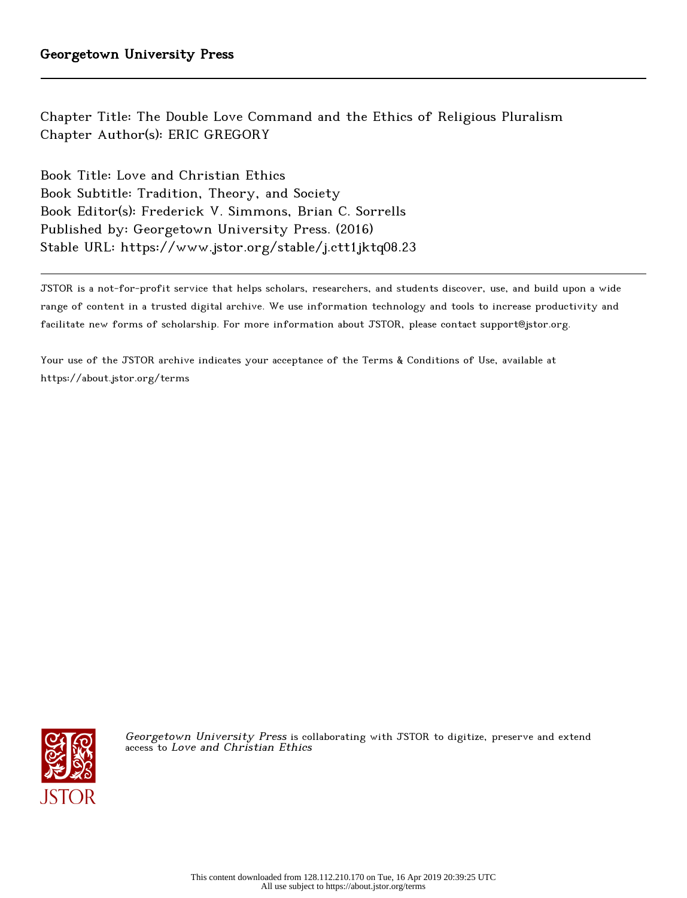Chapter Title: The Double Love Command and the Ethics of Religious Pluralism Chapter Author(s): ERIC GREGORY

Book Title: Love and Christian Ethics Book Subtitle: Tradition, Theory, and Society Book Editor(s): Frederick V. Simmons, Brian C. Sorrells Published by: Georgetown University Press. (2016) Stable URL: https://www.jstor.org/stable/j.ctt1jktq08.23

JSTOR is a not-for-profit service that helps scholars, researchers, and students discover, use, and build upon a wide range of content in a trusted digital archive. We use information technology and tools to increase productivity and facilitate new forms of scholarship. For more information about JSTOR, please contact support@jstor.org.

Your use of the JSTOR archive indicates your acceptance of the Terms & Conditions of Use, available at https://about.jstor.org/terms



Georgetown University Press is collaborating with JSTOR to digitize, preserve and extend access to Love and Christian Ethics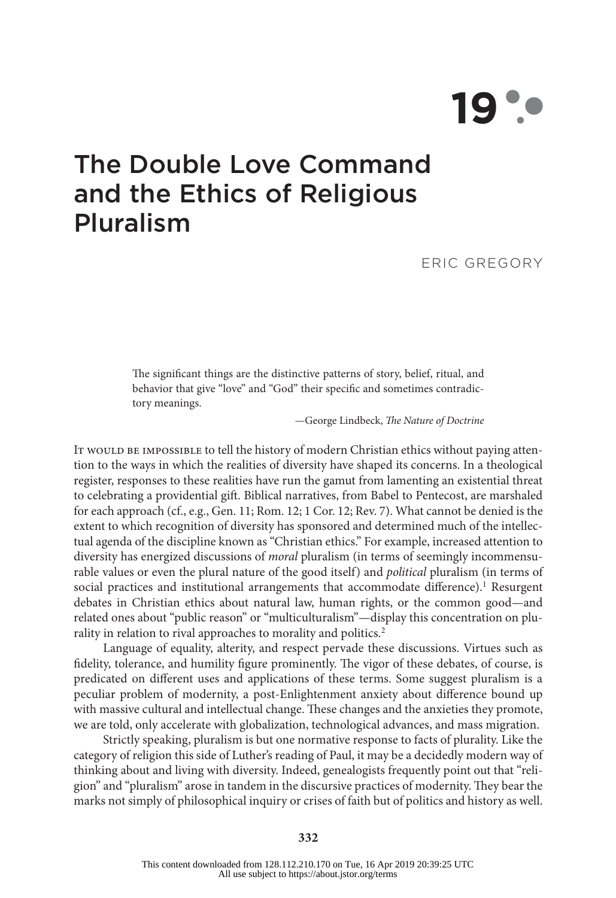# **19**

# The Double Love Command and the Ethics of Religious Pluralism

ERIC GREGORY

The significant things are the distinctive patterns of story, belief, ritual, and behavior that give "love" and "God" their specific and sometimes contradictory meanings.

—George Lindbeck, *The Nature of Doctrine*

It would be impossible to tell the history of modern Christian ethics without paying attention to the ways in which the realities of diversity have shaped its concerns. In a theological register, responses to these realities have run the gamut from lamenting an existential threat to celebrating a providential gift. Biblical narratives, from Babel to Pentecost, are marshaled for each approach (cf., e.g., Gen. 11; Rom. 12; 1 Cor. 12; Rev. 7). What cannot be denied is the extent to which recognition of diversity has sponsored and determined much of the intellectual agenda of the discipline known as "Christian ethics." For example, increased attention to diversity has energized discussions of *moral* pluralism (in terms of seemingly incommensurable values or even the plural nature of the good itself) and *political* pluralism (in terms of social practices and institutional arrangements that accommodate difference).<sup>[1](#page-12-0)</sup> Resurgent debates in Christian ethics about natural law, human rights, or the common good—and related ones about "public reason" or "multiculturalism"—display this concentration on plu-rality in relation to rival approaches to morality and politics.<sup>[2](#page-12-0)</sup>

Language of equality, alterity, and respect pervade these discussions. Virtues such as fidelity, tolerance, and humility figure prominently. The vigor of these debates, of course, is predicated on different uses and applications of these terms. Some suggest pluralism is a peculiar problem of modernity, a post-Enlightenment anxiety about difference bound up with massive cultural and intellectual change. These changes and the anxieties they promote, we are told, only accelerate with globalization, technological advances, and mass migration.

Strictly speaking, pluralism is but one normative response to facts of plurality. Like the category of religion this side of Luther's reading of Paul, it may be a decidedly modern way of thinking about and living with diversity. Indeed, genealogists frequently point out that "religion" and "pluralism" arose in tandem in the discursive practices of modernity. They bear the marks not simply of philosophical inquiry or crises of faith but of politics and history as well.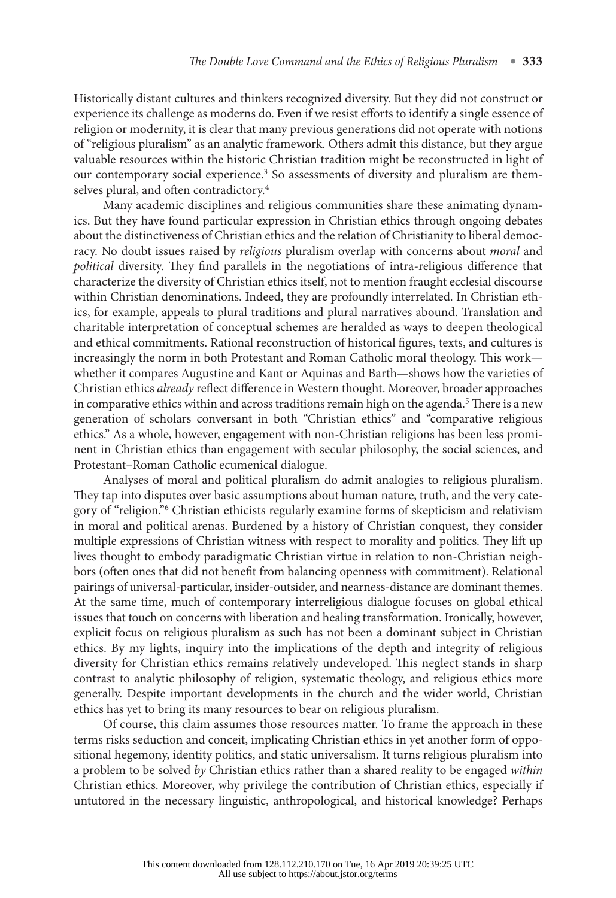Historically distant cultures and thinkers recognized diversity. But they did not construct or experience its challenge as moderns do. Even if we resist efforts to identify a single essence of religion or modernity, it is clear that many previous generations did not operate with notions of "religious pluralism" as an analytic framework. Others admit this distance, but they argue valuable resources within the historic Christian tradition might be reconstructed in light of our contemporary social experience.<sup>[3](#page-12-0)</sup> So assessments of diversity and pluralism are themselves plural, and often contradictory.[4](#page-12-0)

Many academic disciplines and religious communities share these animating dynamics. But they have found particular expression in Christian ethics through ongoing debates about the distinctiveness of Christian ethics and the relation of Christianity to liberal democracy. No doubt issues raised by *religious* pluralism overlap with concerns about *moral* and *political* diversity. They find parallels in the negotiations of intra-religious difference that characterize the diversity of Christian ethics itself, not to mention fraught ecclesial discourse within Christian denominations. Indeed, they are profoundly interrelated. In Christian ethics, for example, appeals to plural traditions and plural narratives abound. Translation and charitable interpretation of conceptual schemes are heralded as ways to deepen theological and ethical commitments. Rational reconstruction of historical figures, texts, and cultures is increasingly the norm in both Protestant and Roman Catholic moral theology. This work whether it compares Augustine and Kant or Aquinas and Barth—shows how the varieties of Christian ethics *already* reflect difference in Western thought. Moreover, broader approaches in comparative ethics within and across traditions remain high on the agenda.<sup>[5](#page-12-0)</sup> There is a new generation of scholars conversant in both "Christian ethics" and "comparative religious ethics." As a whole, however, engagement with non-Christian religions has been less prominent in Christian ethics than engagement with secular philosophy, the social sciences, and Protestant–Roman Catholic ecumenical dialogue.

Analyses of moral and political pluralism do admit analogies to religious pluralism. They tap into disputes over basic assumptions about human nature, truth, and the very category of "religion."[6](#page-12-0) Christian ethicists regularly examine forms of skepticism and relativism in moral and political arenas. Burdened by a history of Christian conquest, they consider multiple expressions of Christian witness with respect to morality and politics. They lift up lives thought to embody paradigmatic Christian virtue in relation to non-Christian neighbors (often ones that did not benefit from balancing openness with commitment). Relational pairings of universal-particular, insider-outsider, and nearness-distance are dominant themes. At the same time, much of contemporary interreligious dialogue focuses on global ethical issues that touch on concerns with liberation and healing transformation. Ironically, however, explicit focus on religious pluralism as such has not been a dominant subject in Christian ethics. By my lights, inquiry into the implications of the depth and integrity of religious diversity for Christian ethics remains relatively undeveloped. This neglect stands in sharp contrast to analytic philosophy of religion, systematic theology, and religious ethics more generally. Despite important developments in the church and the wider world, Christian ethics has yet to bring its many resources to bear on religious pluralism.

Of course, this claim assumes those resources matter. To frame the approach in these terms risks seduction and conceit, implicating Christian ethics in yet another form of oppositional hegemony, identity politics, and static universalism. It turns religious pluralism into a problem to be solved *by* Christian ethics rather than a shared reality to be engaged *within* Christian ethics. Moreover, why privilege the contribution of Christian ethics, especially if untutored in the necessary linguistic, anthropological, and historical knowledge? Perhaps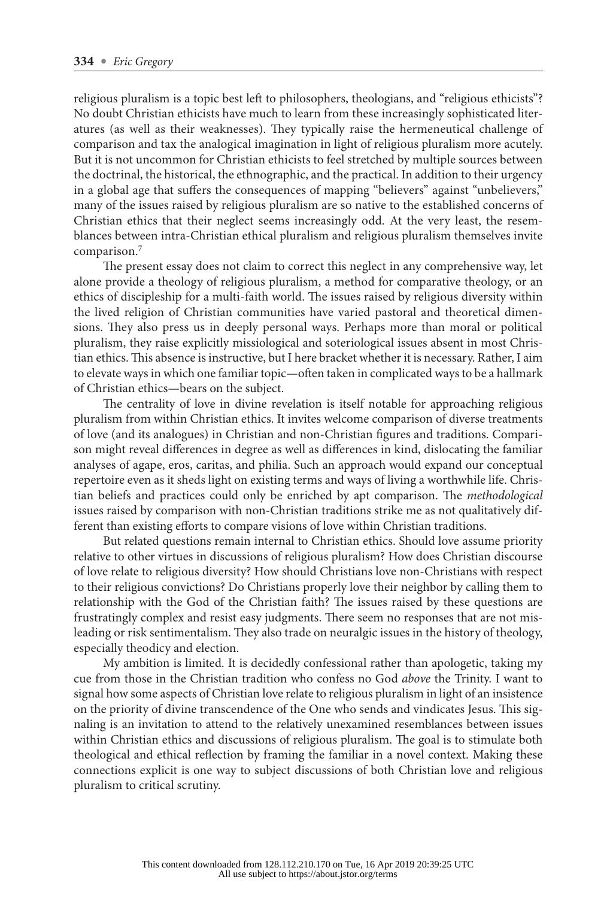religious pluralism is a topic best left to philosophers, theologians, and "religious ethicists"? No doubt Christian ethicists have much to learn from these increasingly sophisticated literatures (as well as their weaknesses). They typically raise the hermeneutical challenge of comparison and tax the analogical imagination in light of religious pluralism more acutely. But it is not uncommon for Christian ethicists to feel stretched by multiple sources between the doctrinal, the historical, the ethnographic, and the practical. In addition to their urgency in a global age that suffers the consequences of mapping "believers" against "unbelievers," many of the issues raised by religious pluralism are so native to the established concerns of Christian ethics that their neglect seems increasingly odd. At the very least, the resemblances between intra-Christian ethical pluralism and religious pluralism themselves invite comparison[.7](#page-12-0)

The present essay does not claim to correct this neglect in any comprehensive way, let alone provide a theology of religious pluralism, a method for comparative theology, or an ethics of discipleship for a multi-faith world. The issues raised by religious diversity within the lived religion of Christian communities have varied pastoral and theoretical dimensions. They also press us in deeply personal ways. Perhaps more than moral or political pluralism, they raise explicitly missiological and soteriological issues absent in most Christian ethics. This absence is instructive, but I here bracket whether it is necessary. Rather, I aim to elevate ways in which one familiar topic—often taken in complicated ways to be a hallmark of Christian ethics—bears on the subject.

The centrality of love in divine revelation is itself notable for approaching religious pluralism from within Christian ethics. It invites welcome comparison of diverse treatments of love (and its analogues) in Christian and non-Christian figures and traditions. Comparison might reveal differences in degree as well as differences in kind, dislocating the familiar analyses of agape, eros, caritas, and philia. Such an approach would expand our conceptual repertoire even as it sheds light on existing terms and ways of living a worthwhile life. Christian beliefs and practices could only be enriched by apt comparison. The *methodological* issues raised by comparison with non-Christian traditions strike me as not qualitatively different than existing efforts to compare visions of love within Christian traditions.

But related questions remain internal to Christian ethics. Should love assume priority relative to other virtues in discussions of religious pluralism? How does Christian discourse of love relate to religious diversity? How should Christians love non-Christians with respect to their religious convictions? Do Christians properly love their neighbor by calling them to relationship with the God of the Christian faith? The issues raised by these questions are frustratingly complex and resist easy judgments. There seem no responses that are not misleading or risk sentimentalism. They also trade on neuralgic issues in the history of theology, especially theodicy and election.

My ambition is limited. It is decidedly confessional rather than apologetic, taking my cue from those in the Christian tradition who confess no God *above* the Trinity. I want to signal how some aspects of Christian love relate to religious pluralism in light of an insistence on the priority of divine transcendence of the One who sends and vindicates Jesus. This signaling is an invitation to attend to the relatively unexamined resemblances between issues within Christian ethics and discussions of religious pluralism. The goal is to stimulate both theological and ethical reflection by framing the familiar in a novel context. Making these connections explicit is one way to subject discussions of both Christian love and religious pluralism to critical scrutiny.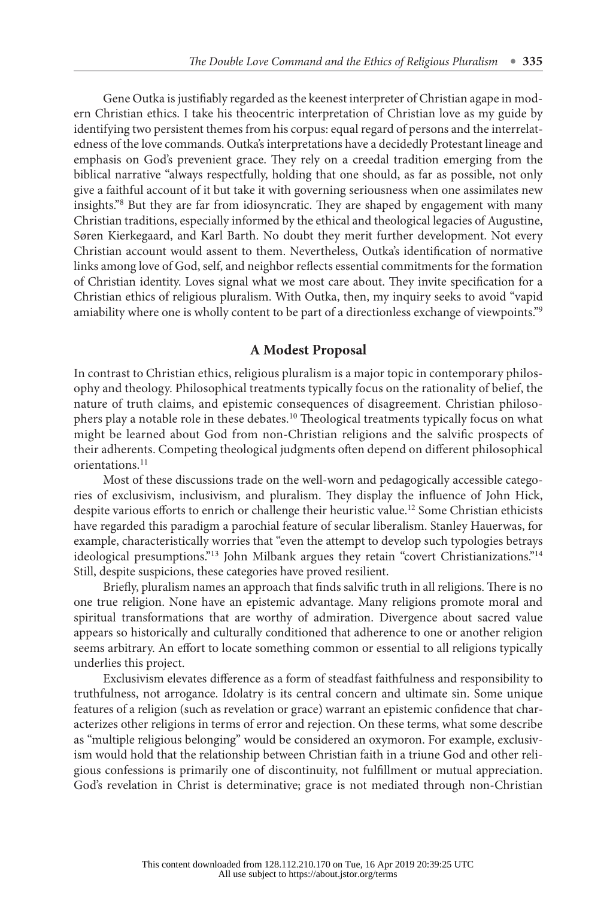Gene Outka is justifiably regarded as the keenest interpreter of Christian agape in modern Christian ethics. I take his theocentric interpretation of Christian love as my guide by identifying two persistent themes from his corpus: equal regard of persons and the interrelatedness of the love commands. Outka's interpretations have a decidedly Protestant lineage and emphasis on God's prevenient grace. They rely on a creedal tradition emerging from the biblical narrative "always respectfully, holding that one should, as far as possible, not only give a faithful account of it but take it with governing seriousness when one assimilates new insights.["8](#page-12-0) But they are far from idiosyncratic. They are shaped by engagement with many Christian traditions, especially informed by the ethical and theological legacies of Augustine, Søren Kierkegaard, and Karl Barth. No doubt they merit further development. Not every Christian account would assent to them. Nevertheless, Outka's identification of normative links among love of God, self, and neighbor reflects essential commitments for the formation of Christian identity. Loves signal what we most care about. They invite specification for a Christian ethics of religious pluralism. With Outka, then, my inquiry seeks to avoid "vapid amiability where one is wholly content to be part of a directionless exchange of viewpoints.["9](#page-12-0)

## **A Modest Proposal**

In contrast to Christian ethics, religious pluralism is a major topic in contemporary philosophy and theology. Philosophical treatments typically focus on the rationality of belief, the nature of truth claims, and epistemic consequences of disagreement. Christian philosophers play a notable role in these debates.[10](#page-12-0) Theological treatments typically focus on what might be learned about God from non-Christian religions and the salvific prospects of their adherents. Competing theological judgments often depend on different philosophical orientations.<sup>[11](#page-12-0)</sup>

Most of these discussions trade on the well-worn and pedagogically accessible categories of exclusivism, inclusivism, and pluralism. They display the influence of John Hick, despite various efforts to enrich or challenge their heuristic value.<sup>[12](#page-12-0)</sup> Some Christian ethicists have regarded this paradigm a parochial feature of secular liberalism. Stanley Hauerwas, for example, characteristically worries that "even the attempt to develop such typologies betrays ideological presumptions."<sup>[13](#page-13-0)</sup> John Milbank argues they retain "covert Christianizations."<sup>[14](#page-13-0)</sup> Still, despite suspicions, these categories have proved resilient.

Briefly, pluralism names an approach that finds salvific truth in all religions. There is no one true religion. None have an epistemic advantage. Many religions promote moral and spiritual transformations that are worthy of admiration. Divergence about sacred value appears so historically and culturally conditioned that adherence to one or another religion seems arbitrary. An effort to locate something common or essential to all religions typically underlies this project.

Exclusivism elevates difference as a form of steadfast faithfulness and responsibility to truthfulness, not arrogance. Idolatry is its central concern and ultimate sin. Some unique features of a religion (such as revelation or grace) warrant an epistemic confidence that characterizes other religions in terms of error and rejection. On these terms, what some describe as "multiple religious belonging" would be considered an oxymoron. For example, exclusivism would hold that the relationship between Christian faith in a triune God and other religious confessions is primarily one of discontinuity, not fulfillment or mutual appreciation. God's revelation in Christ is determinative; grace is not mediated through non-Christian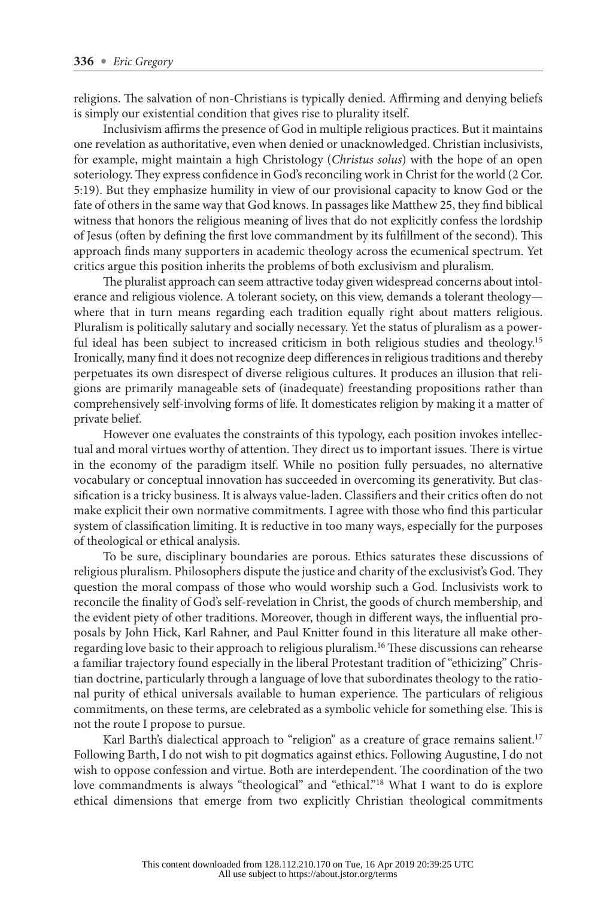religions. The salvation of non-Christians is typically denied. Affirming and denying beliefs is simply our existential condition that gives rise to plurality itself.

Inclusivism affirms the presence of God in multiple religious practices. But it maintains one revelation as authoritative, even when denied or unacknowledged. Christian inclusivists, for example, might maintain a high Christology (*Christus solus*) with the hope of an open soteriology. They express confidence in God's reconciling work in Christ for the world (2 Cor. 5:19). But they emphasize humility in view of our provisional capacity to know God or the fate of others in the same way that God knows. In passages like Matthew 25, they find biblical witness that honors the religious meaning of lives that do not explicitly confess the lordship of Jesus (often by defining the first love commandment by its fulfillment of the second). This approach finds many supporters in academic theology across the ecumenical spectrum. Yet critics argue this position inherits the problems of both exclusivism and pluralism.

The pluralist approach can seem attractive today given widespread concerns about intolerance and religious violence. A tolerant society, on this view, demands a tolerant theology where that in turn means regarding each tradition equally right about matters religious. Pluralism is politically salutary and socially necessary. Yet the status of pluralism as a power-ful ideal has been subject to increased criticism in both religious studies and theology.<sup>[15](#page-13-0)</sup> Ironically, many find it does not recognize deep differences in religious traditions and thereby perpetuates its own disrespect of diverse religious cultures. It produces an illusion that religions are primarily manageable sets of (inadequate) freestanding propositions rather than comprehensively self-involving forms of life. It domesticates religion by making it a matter of private belief.

However one evaluates the constraints of this typology, each position invokes intellectual and moral virtues worthy of attention. They direct us to important issues. There is virtue in the economy of the paradigm itself. While no position fully persuades, no alternative vocabulary or conceptual innovation has succeeded in overcoming its generativity. But classification is a tricky business. It is always value-laden. Classifiers and their critics often do not make explicit their own normative commitments. I agree with those who find this particular system of classification limiting. It is reductive in too many ways, especially for the purposes of theological or ethical analysis.

To be sure, disciplinary boundaries are porous. Ethics saturates these discussions of religious pluralism. Philosophers dispute the justice and charity of the exclusivist's God. They question the moral compass of those who would worship such a God. Inclusivists work to reconcile the finality of God's self-revelation in Christ, the goods of church membership, and the evident piety of other traditions. Moreover, though in different ways, the influential proposals by John Hick, Karl Rahner, and Paul Knitter found in this literature all make otherregarding love basic to their approach to religious pluralism.[16](#page-13-0) These discussions can rehearse a familiar trajectory found especially in the liberal Protestant tradition of "ethicizing" Christian doctrine, particularly through a language of love that subordinates theology to the rational purity of ethical universals available to human experience. The particulars of religious commitments, on these terms, are celebrated as a symbolic vehicle for something else. This is not the route I propose to pursue.

Karl Barth's dialectical approach to "religion" as a creature of grace remains salient.<sup>[17](#page-13-0)</sup> Following Barth, I do not wish to pit dogmatics against ethics. Following Augustine, I do not wish to oppose confession and virtue. Both are interdependent. The coordination of the two love commandments is always "theological" and "ethical."<sup>[18](#page-13-0)</sup> What I want to do is explore ethical dimensions that emerge from two explicitly Christian theological commitments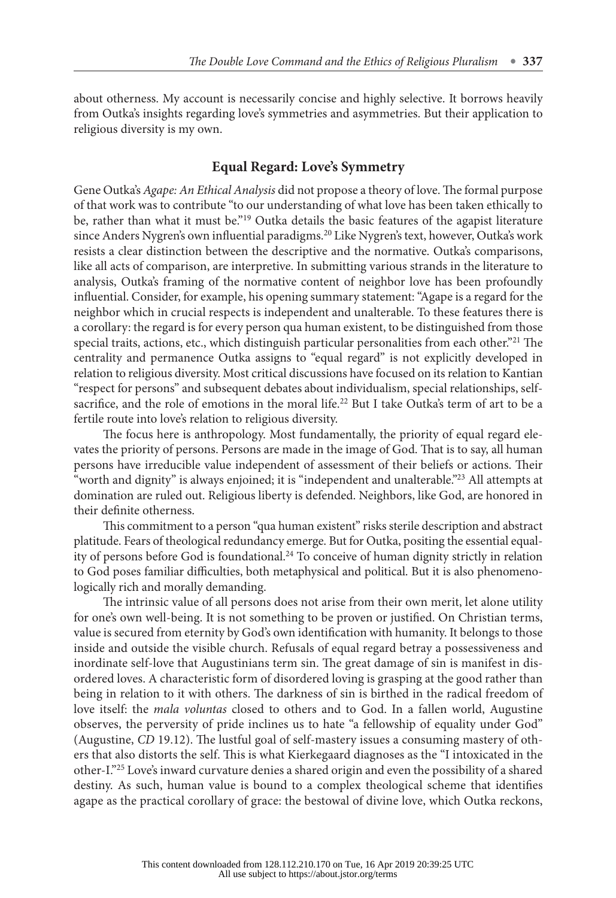about otherness. My account is necessarily concise and highly selective. It borrows heavily from Outka's insights regarding love's symmetries and asymmetries. But their application to religious diversity is my own.

## **Equal Regard: Love's Symmetry**

Gene Outka's *Agape: An Ethical Analysis* did not propose a theory of love. The formal purpose of that work was to contribute "to our understanding of what love has been taken ethically to be, rather than what it must be."<sup>19</sup> Outka details the basic features of the agapist literature since Anders Nygren's own influential paradigms[.20](#page-13-0) Like Nygren's text, however, Outka's work resists a clear distinction between the descriptive and the normative. Outka's comparisons, like all acts of comparison, are interpretive. In submitting various strands in the literature to analysis, Outka's framing of the normative content of neighbor love has been profoundly influential. Consider, for example, his opening summary statement: "Agape is a regard for the neighbor which in crucial respects is independent and unalterable. To these features there is a corollary: the regard is for every person qua human existent, to be distinguished from those special traits, actions, etc., which distinguish particular personalities from each other."[21](#page-13-0) The centrality and permanence Outka assigns to "equal regard" is not explicitly developed in relation to religious diversity. Most critical discussions have focused on its relation to Kantian "respect for persons" and subsequent debates about individualism, special relationships, selfsacrifice, and the role of emotions in the moral life.<sup>22</sup> But I take Outka's term of art to be a fertile route into love's relation to religious diversity.

The focus here is anthropology. Most fundamentally, the priority of equal regard elevates the priority of persons. Persons are made in the image of God. That is to say, all human persons have irreducible value independent of assessment of their beliefs or actions. Their "worth and dignity" is always enjoined; it is "independent and unalterable.["23](#page-13-0) All attempts at domination are ruled out. Religious liberty is defended. Neighbors, like God, are honored in their definite otherness.

This commitment to a person "qua human existent" risks sterile description and abstract platitude. Fears of theological redundancy emerge. But for Outka, positing the essential equal-ity of persons before God is foundational.<sup>[24](#page-13-0)</sup> To conceive of human dignity strictly in relation to God poses familiar difficulties, both metaphysical and political. But it is also phenomenologically rich and morally demanding.

The intrinsic value of all persons does not arise from their own merit, let alone utility for one's own well-being. It is not something to be proven or justified. On Christian terms, value is secured from eternity by God's own identification with humanity. It belongs to those inside and outside the visible church. Refusals of equal regard betray a possessiveness and inordinate self-love that Augustinians term sin. The great damage of sin is manifest in disordered loves. A characteristic form of disordered loving is grasping at the good rather than being in relation to it with others. The darkness of sin is birthed in the radical freedom of love itself: the *mala voluntas* closed to others and to God. In a fallen world, Augustine observes, the perversity of pride inclines us to hate "a fellowship of equality under God" (Augustine, *CD* 19.12). The lustful goal of self-mastery issues a consuming mastery of others that also distorts the self. This is what Kierkegaard diagnoses as the "I intoxicated in the other-I.["25](#page-13-0) Love's inward curvature denies a shared origin and even the possibility of a shared destiny. As such, human value is bound to a complex theological scheme that identifies agape as the practical corollary of grace: the bestowal of divine love, which Outka reckons,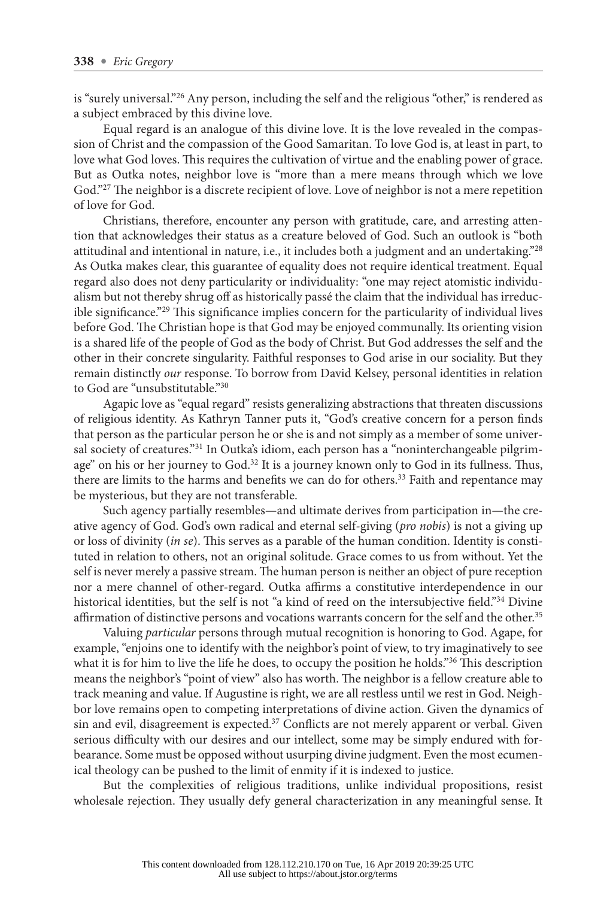is "surely universal."<sup>26</sup> Any person, including the self and the religious "other," is rendered as a subject embraced by this divine love.

Equal regard is an analogue of this divine love. It is the love revealed in the compassion of Christ and the compassion of the Good Samaritan. To love God is, at least in part, to love what God loves. This requires the cultivation of virtue and the enabling power of grace. But as Outka notes, neighbor love is "more than a mere means through which we love God."<sup>27</sup> The neighbor is a discrete recipient of love. Love of neighbor is not a mere repetition of love for God.

Christians, therefore, encounter any person with gratitude, care, and arresting attention that acknowledges their status as a creature beloved of God. Such an outlook is "both attitudinal and intentional in nature, i.e., it includes both a judgment and an undertaking."[28](#page-14-0) As Outka makes clear, this guarantee of equality does not require identical treatment. Equal regard also does not deny particularity or individuality: "one may reject atomistic individualism but not thereby shrug off as historically passé the claim that the individual has irreducible significance."[29](#page-14-0) This significance implies concern for the particularity of individual lives before God. The Christian hope is that God may be enjoyed communally. Its orienting vision is a shared life of the people of God as the body of Christ. But God addresses the self and the other in their concrete singularity. Faithful responses to God arise in our sociality. But they remain distinctly *our* response. To borrow from David Kelsey, personal identities in relation to God are "unsubstitutable."[30](#page-14-0)

Agapic love as "equal regard" resists generalizing abstractions that threaten discussions of religious identity. As Kathryn Tanner puts it, "God's creative concern for a person finds that person as the particular person he or she is and not simply as a member of some univer-sal society of creatures."<sup>[31](#page-14-0)</sup> In Outka's idiom, each person has a "noninterchangeable pilgrimage" on his or her journey to God.[32](#page-14-0) It is a journey known only to God in its fullness. Thus, there are limits to the harms and benefits we can do for others.<sup>[33](#page-14-0)</sup> Faith and repentance may be mysterious, but they are not transferable.

Such agency partially resembles—and ultimate derives from participation in—the creative agency of God. God's own radical and eternal self-giving (*pro nobis*) is not a giving up or loss of divinity (*in se*). This serves as a parable of the human condition. Identity is constituted in relation to others, not an original solitude. Grace comes to us from without. Yet the self is never merely a passive stream. The human person is neither an object of pure reception nor a mere channel of other-regard. Outka affirms a constitutive interdependence in our historical identities, but the self is not "a kind of reed on the intersubjective field."<sup>[34](#page-14-0)</sup> Divine affirmation of distinctive persons and vocations warrants concern for the self and the other.<sup>[35](#page-14-0)</sup>

Valuing *particular* persons through mutual recognition is honoring to God. Agape, for example, "enjoins one to identify with the neighbor's point of view, to try imaginatively to see what it is for him to live the life he does, to occupy the position he holds."<sup>[36](#page-14-0)</sup> This description means the neighbor's "point of view" also has worth. The neighbor is a fellow creature able to track meaning and value. If Augustine is right, we are all restless until we rest in God. Neighbor love remains open to competing interpretations of divine action. Given the dynamics of sin and evil, disagreement is expected. $37$  Conflicts are not merely apparent or verbal. Given serious difficulty with our desires and our intellect, some may be simply endured with forbearance. Some must be opposed without usurping divine judgment. Even the most ecumenical theology can be pushed to the limit of enmity if it is indexed to justice.

But the complexities of religious traditions, unlike individual propositions, resist wholesale rejection. They usually defy general characterization in any meaningful sense. It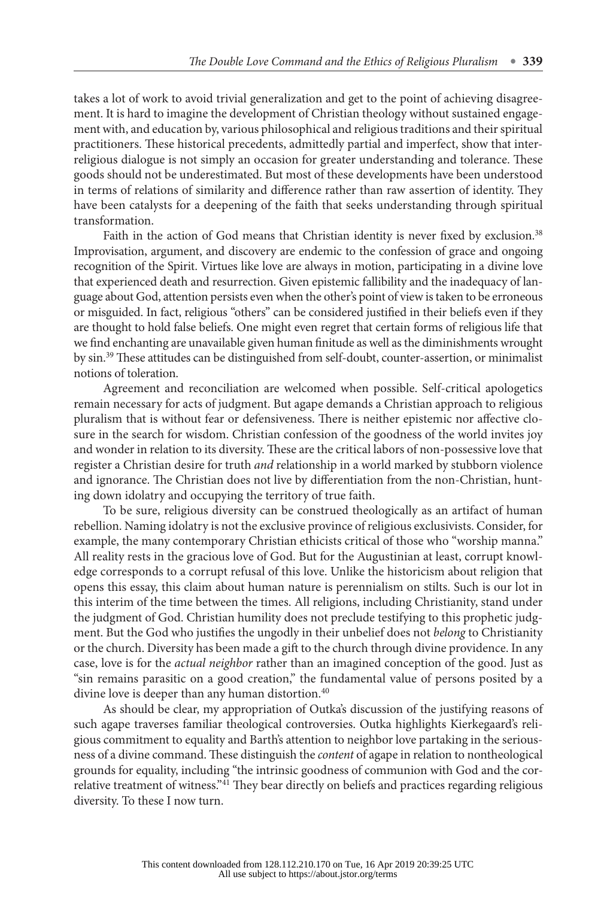takes a lot of work to avoid trivial generalization and get to the point of achieving disagreement. It is hard to imagine the development of Christian theology without sustained engagement with, and education by, various philosophical and religious traditions and their spiritual practitioners. These historical precedents, admittedly partial and imperfect, show that interreligious dialogue is not simply an occasion for greater understanding and tolerance. These goods should not be underestimated. But most of these developments have been understood in terms of relations of similarity and difference rather than raw assertion of identity. They have been catalysts for a deepening of the faith that seeks understanding through spiritual transformation.

Faith in the action of God means that Christian identity is never fixed by exclusion.<sup>[38](#page-14-0)</sup> Improvisation, argument, and discovery are endemic to the confession of grace and ongoing recognition of the Spirit. Virtues like love are always in motion, participating in a divine love that experienced death and resurrection. Given epistemic fallibility and the inadequacy of language about God, attention persists even when the other's point of view is taken to be erroneous or misguided. In fact, religious "others" can be considered justified in their beliefs even if they are thought to hold false beliefs. One might even regret that certain forms of religious life that we find enchanting are unavailable given human finitude as well as the diminishments wrought by sin.[39](#page-14-0) These attitudes can be distinguished from self-doubt, counter-assertion, or minimalist notions of toleration.

Agreement and reconciliation are welcomed when possible. Self-critical apologetics remain necessary for acts of judgment. But agape demands a Christian approach to religious pluralism that is without fear or defensiveness. There is neither epistemic nor affective closure in the search for wisdom. Christian confession of the goodness of the world invites joy and wonder in relation to its diversity. These are the critical labors of non-possessive love that register a Christian desire for truth *and* relationship in a world marked by stubborn violence and ignorance. The Christian does not live by differentiation from the non-Christian, hunting down idolatry and occupying the territory of true faith.

To be sure, religious diversity can be construed theologically as an artifact of human rebellion. Naming idolatry is not the exclusive province of religious exclusivists. Consider, for example, the many contemporary Christian ethicists critical of those who "worship manna." All reality rests in the gracious love of God. But for the Augustinian at least, corrupt knowledge corresponds to a corrupt refusal of this love. Unlike the historicism about religion that opens this essay, this claim about human nature is perennialism on stilts. Such is our lot in this interim of the time between the times. All religions, including Christianity, stand under the judgment of God. Christian humility does not preclude testifying to this prophetic judgment. But the God who justifies the ungodly in their unbelief does not *belong* to Christianity or the church. Diversity has been made a gift to the church through divine providence. In any case, love is for the *actual neighbor* rather than an imagined conception of the good. Just as "sin remains parasitic on a good creation," the fundamental value of persons posited by a divine love is deeper than any human distortion.<sup>[40](#page-14-0)</sup>

As should be clear, my appropriation of Outka's discussion of the justifying reasons of such agape traverses familiar theological controversies. Outka highlights Kierkegaard's religious commitment to equality and Barth's attention to neighbor love partaking in the seriousness of a divine command. These distinguish the *content* of agape in relation to nontheological grounds for equality, including "the intrinsic goodness of communion with God and the correlative treatment of witness."[41](#page-14-0) They bear directly on beliefs and practices regarding religious diversity. To these I now turn.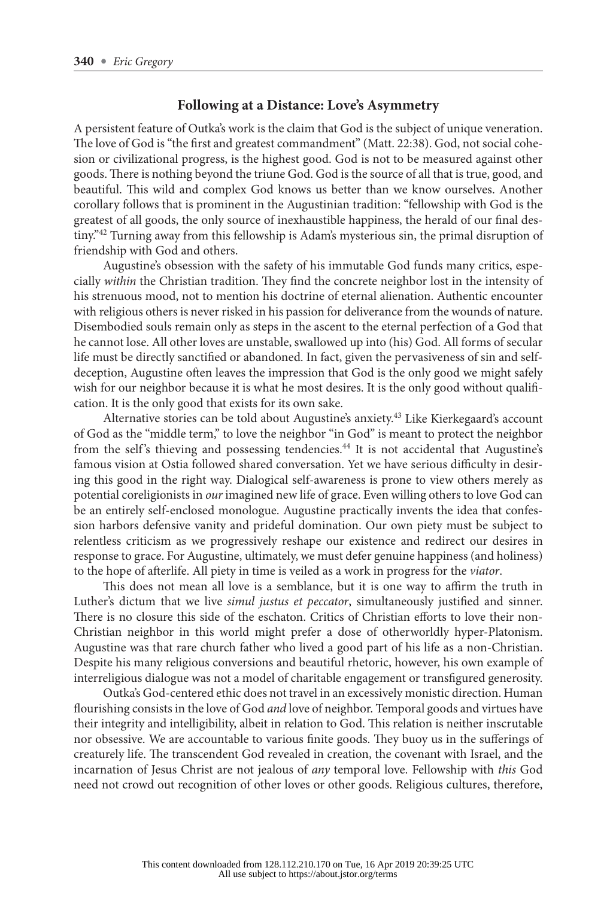## **Following at a Distance: Love's Asymmetry**

A persistent feature of Outka's work is the claim that God is the subject of unique veneration. The love of God is "the first and greatest commandment" (Matt. 22:38). God, not social cohesion or civilizational progress, is the highest good. God is not to be measured against other goods. There is nothing beyond the triune God. God is the source of all that is true, good, and beautiful. This wild and complex God knows us better than we know ourselves. Another corollary follows that is prominent in the Augustinian tradition: "fellowship with God is the greatest of all goods, the only source of inexhaustible happiness, the herald of our final destiny.["42](#page-14-0) Turning away from this fellowship is Adam's mysterious sin, the primal disruption of friendship with God and others.

Augustine's obsession with the safety of his immutable God funds many critics, especially *within* the Christian tradition. They find the concrete neighbor lost in the intensity of his strenuous mood, not to mention his doctrine of eternal alienation. Authentic encounter with religious others is never risked in his passion for deliverance from the wounds of nature. Disembodied souls remain only as steps in the ascent to the eternal perfection of a God that he cannot lose. All other loves are unstable, swallowed up into (his) God. All forms of secular life must be directly sanctified or abandoned. In fact, given the pervasiveness of sin and selfdeception, Augustine often leaves the impression that God is the only good we might safely wish for our neighbor because it is what he most desires. It is the only good without qualification. It is the only good that exists for its own sake.

Alternative stories can be told about Augustine's anxiety[.43](#page-14-0) Like Kierkegaard's account of God as the "middle term," to love the neighbor "in God" is meant to protect the neighbor from the self's thieving and possessing tendencies.<sup>44</sup> It is not accidental that Augustine's famous vision at Ostia followed shared conversation. Yet we have serious difficulty in desiring this good in the right way. Dialogical self-awareness is prone to view others merely as potential coreligionists in *our* imagined new life of grace. Even willing others to love God can be an entirely self-enclosed monologue. Augustine practically invents the idea that confession harbors defensive vanity and prideful domination. Our own piety must be subject to relentless criticism as we progressively reshape our existence and redirect our desires in response to grace. For Augustine, ultimately, we must defer genuine happiness (and holiness) to the hope of afterlife. All piety in time is veiled as a work in progress for the *viator*.

This does not mean all love is a semblance, but it is one way to affirm the truth in Luther's dictum that we live *simul justus et peccator*, simultaneously justified and sinner. There is no closure this side of the eschaton. Critics of Christian efforts to love their non-Christian neighbor in this world might prefer a dose of otherworldly hyper-Platonism. Augustine was that rare church father who lived a good part of his life as a non-Christian. Despite his many religious conversions and beautiful rhetoric, however, his own example of interreligious dialogue was not a model of charitable engagement or transfigured generosity.

Outka's God-centered ethic does not travel in an excessively monistic direction. Human flourishing consists in the love of God *and* love of neighbor. Temporal goods and virtues have their integrity and intelligibility, albeit in relation to God. This relation is neither inscrutable nor obsessive. We are accountable to various finite goods. They buoy us in the sufferings of creaturely life. The transcendent God revealed in creation, the covenant with Israel, and the incarnation of Jesus Christ are not jealous of *any* temporal love. Fellowship with *this* God need not crowd out recognition of other loves or other goods. Religious cultures, therefore,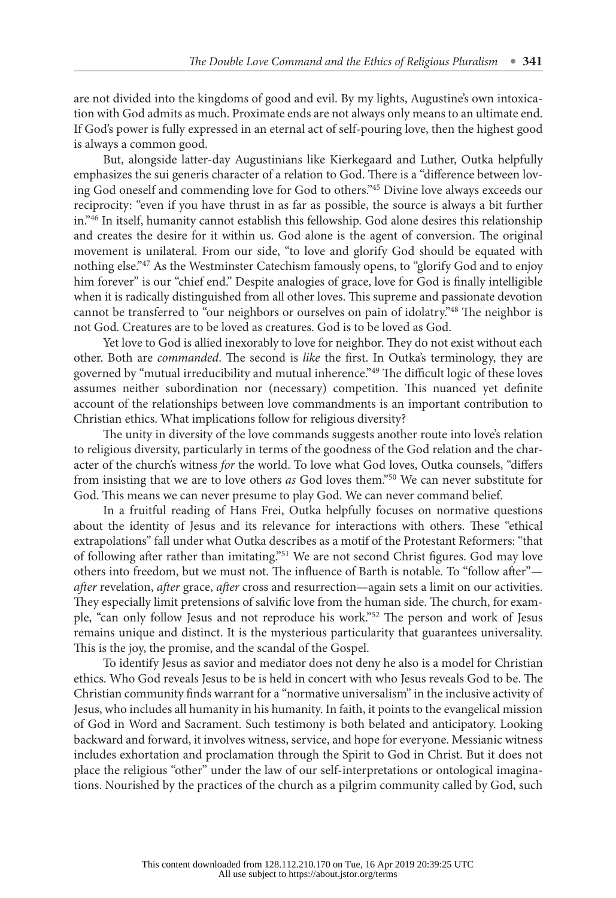are not divided into the kingdoms of good and evil. By my lights, Augustine's own intoxication with God admits as much. Proximate ends are not always only means to an ultimate end. If God's power is fully expressed in an eternal act of self-pouring love, then the highest good is always a common good.

But, alongside latter-day Augustinians like Kierkegaard and Luther, Outka helpfully emphasizes the sui generis character of a relation to God. There is a "difference between loving God oneself and commending love for God to others."[45](#page-14-0) Divine love always exceeds our reciprocity: "even if you have thrust in as far as possible, the source is always a bit further in."[46](#page-14-0) In itself, humanity cannot establish this fellowship. God alone desires this relationship and creates the desire for it within us. God alone is the agent of conversion. The original movement is unilateral. From our side, "to love and glorify God should be equated with nothing else."[47](#page-14-0) As the Westminster Catechism famously opens, to "glorify God and to enjoy him forever" is our "chief end." Despite analogies of grace, love for God is finally intelligible when it is radically distinguished from all other loves. This supreme and passionate devotion cannot be transferred to "our neighbors or ourselves on pain of idolatry."[48](#page-14-0) The neighbor is not God. Creatures are to be loved as creatures. God is to be loved as God.

Yet love to God is allied inexorably to love for neighbor. They do not exist without each other. Both are *commanded*. The second is *like* the first. In Outka's terminology, they are governed by "mutual irreducibility and mutual inherence.["49](#page-14-0) The difficult logic of these loves assumes neither subordination nor (necessary) competition. This nuanced yet definite account of the relationships between love commandments is an important contribution to Christian ethics. What implications follow for religious diversity?

The unity in diversity of the love commands suggests another route into love's relation to religious diversity, particularly in terms of the goodness of the God relation and the character of the church's witness *for* the world. To love what God loves, Outka counsels, "differs from insisting that we are to love others *as* God loves them."[50](#page-14-0) We can never substitute for God. This means we can never presume to play God. We can never command belief.

In a fruitful reading of Hans Frei, Outka helpfully focuses on normative questions about the identity of Jesus and its relevance for interactions with others. These "ethical extrapolations" fall under what Outka describes as a motif of the Protestant Reformers: "that of following after rather than imitating.["51](#page-14-0) We are not second Christ figures. God may love others into freedom, but we must not. The influence of Barth is notable. To "follow after" *after* revelation, *after* grace, *after* cross and resurrection—again sets a limit on our activities. They especially limit pretensions of salvific love from the human side. The church, for example, "can only follow Jesus and not reproduce his work.["52](#page-15-0) The person and work of Jesus remains unique and distinct. It is the mysterious particularity that guarantees universality. This is the joy, the promise, and the scandal of the Gospel.

To identify Jesus as savior and mediator does not deny he also is a model for Christian ethics. Who God reveals Jesus to be is held in concert with who Jesus reveals God to be. The Christian community finds warrant for a "normative universalism" in the inclusive activity of Jesus, who includes all humanity in his humanity. In faith, it points to the evangelical mission of God in Word and Sacrament. Such testimony is both belated and anticipatory. Looking backward and forward, it involves witness, service, and hope for everyone. Messianic witness includes exhortation and proclamation through the Spirit to God in Christ. But it does not place the religious "other" under the law of our self-interpretations or ontological imaginations. Nourished by the practices of the church as a pilgrim community called by God, such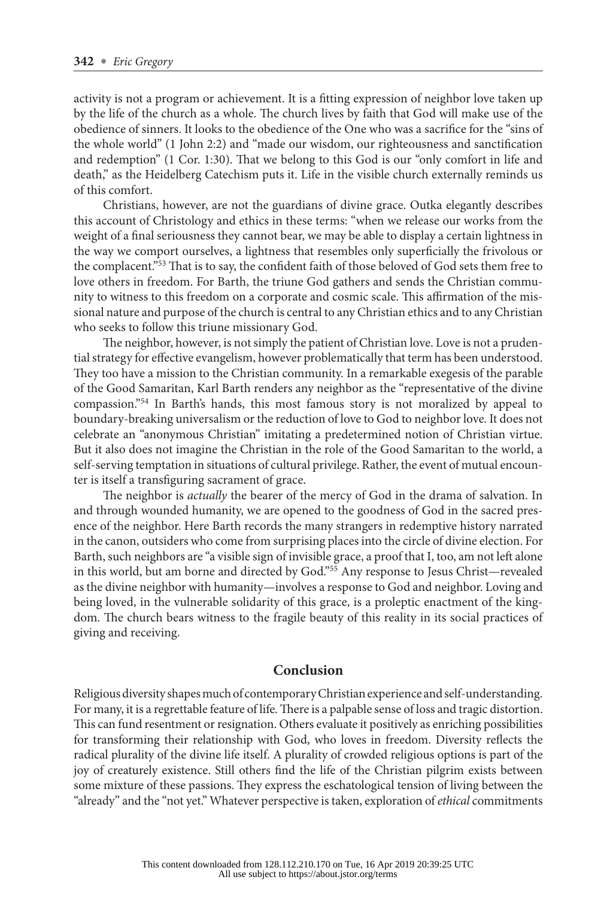activity is not a program or achievement. It is a fitting expression of neighbor love taken up by the life of the church as a whole. The church lives by faith that God will make use of the obedience of sinners. It looks to the obedience of the One who was a sacrifice for the "sins of the whole world" (1 John 2:2) and "made our wisdom, our righteousness and sanctification and redemption" (1 Cor. 1:30). That we belong to this God is our "only comfort in life and death," as the Heidelberg Catechism puts it. Life in the visible church externally reminds us of this comfort.

Christians, however, are not the guardians of divine grace. Outka elegantly describes this account of Christology and ethics in these terms: "when we release our works from the weight of a final seriousness they cannot bear, we may be able to display a certain lightness in the way we comport ourselves, a lightness that resembles only superficially the frivolous or the complacent.["53](#page-15-0) That is to say, the confident faith of those beloved of God sets them free to love others in freedom. For Barth, the triune God gathers and sends the Christian community to witness to this freedom on a corporate and cosmic scale. This affirmation of the missional nature and purpose of the church is central to any Christian ethics and to any Christian who seeks to follow this triune missionary God.

The neighbor, however, is not simply the patient of Christian love. Love is not a prudential strategy for effective evangelism, however problematically that term has been understood. They too have a mission to the Christian community. In a remarkable exegesis of the parable of the Good Samaritan, Karl Barth renders any neighbor as the "representative of the divine compassion.["54](#page-15-0) In Barth's hands, this most famous story is not moralized by appeal to boundary-breaking universalism or the reduction of love to God to neighbor love. It does not celebrate an "anonymous Christian" imitating a predetermined notion of Christian virtue. But it also does not imagine the Christian in the role of the Good Samaritan to the world, a self-serving temptation in situations of cultural privilege. Rather, the event of mutual encounter is itself a transfiguring sacrament of grace.

The neighbor is *actually* the bearer of the mercy of God in the drama of salvation. In and through wounded humanity, we are opened to the goodness of God in the sacred presence of the neighbor. Here Barth records the many strangers in redemptive history narrated in the canon, outsiders who come from surprising places into the circle of divine election. For Barth, such neighbors are "a visible sign of invisible grace, a proof that I, too, am not left alone in this world, but am borne and directed by God."[55](#page-15-0) Any response to Jesus Christ—revealed as the divine neighbor with humanity—involves a response to God and neighbor. Loving and being loved, in the vulnerable solidarity of this grace, is a proleptic enactment of the kingdom. The church bears witness to the fragile beauty of this reality in its social practices of giving and receiving.

#### **Conclusion**

Religious diversity shapes much of contemporary Christian experience and self-understanding. For many, it is a regrettable feature of life. There is a palpable sense of loss and tragic distortion. This can fund resentment or resignation. Others evaluate it positively as enriching possibilities for transforming their relationship with God, who loves in freedom. Diversity reflects the radical plurality of the divine life itself. A plurality of crowded religious options is part of the joy of creaturely existence. Still others find the life of the Christian pilgrim exists between some mixture of these passions. They express the eschatological tension of living between the "already" and the "not yet." Whatever perspective is taken, exploration of *ethical* commitments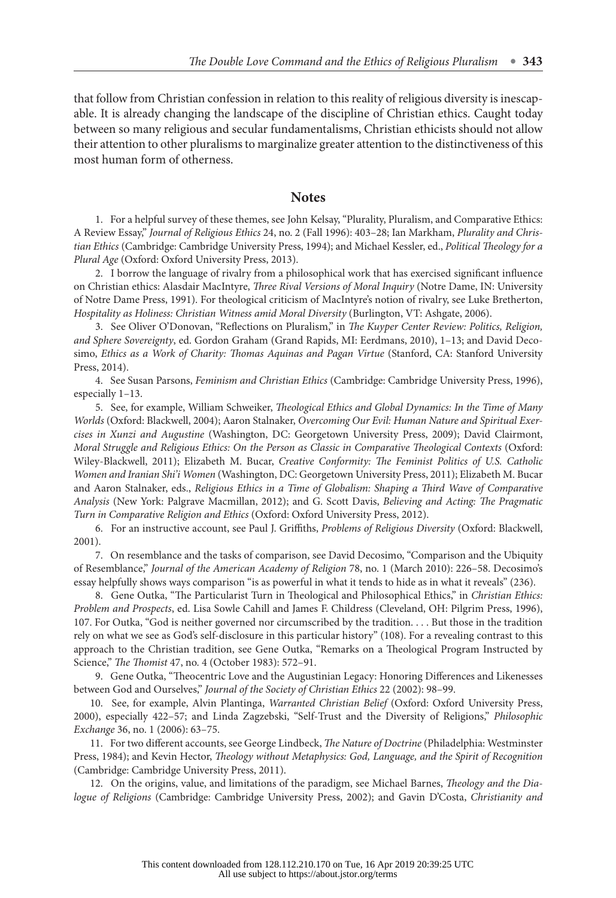<span id="page-12-0"></span>that follow from Christian confession in relation to this reality of religious diversity is inescapable. It is already changing the landscape of the discipline of Christian ethics. Caught today between so many religious and secular fundamentalisms, Christian ethicists should not allow their attention to other pluralisms to marginalize greater attention to the distinctiveness of this most human form of otherness.

#### **Notes**

1. For a helpful survey of these themes, see John Kelsay, "Plurality, Pluralism, and Comparative Ethics: A Review Essay," *Journal of Religious Ethics* 24, no. 2 (Fall 1996): 403–28; Ian Markham, *Plurality and Christian Ethics* (Cambridge: Cambridge University Press, 1994); and Michael Kessler, ed., *Political Theology for a Plural Age* (Oxford: Oxford University Press, 2013).

2. I borrow the language of rivalry from a philosophical work that has exercised significant influence on Christian ethics: Alasdair MacIntyre, *Three Rival Versions of Moral Inquiry* (Notre Dame, IN: University of Notre Dame Press, 1991). For theological criticism of MacIntyre's notion of rivalry, see Luke Bretherton, *Hospitality as Holiness: Christian Witness amid Moral Diversity* (Burlington, VT: Ashgate, 2006).

3. See Oliver O'Donovan, "Reflections on Pluralism," in *The Kuyper Center Review: Politics, Religion, and Sphere Sovereignty*, ed. Gordon Graham (Grand Rapids, MI: Eerdmans, 2010), 1–13; and David Decosimo, *Ethics as a Work of Charity: Thomas Aquinas and Pagan Virtue* (Stanford, CA: Stanford University Press, 2014).

4. See Susan Parsons, *Feminism and Christian Ethics* (Cambridge: Cambridge University Press, 1996), especially 1–13.

5. See, for example, William Schweiker, *Theological Ethics and Global Dynamics: In the Time of Many Worlds* (Oxford: Blackwell, 2004); Aaron Stalnaker, *Overcoming Our Evil: Human Nature and Spiritual Exercises in Xunzi and Augustine* (Washington, DC: Georgetown University Press, 2009); David Clairmont, *Moral Struggle and Religious Ethics: On the Person as Classic in Comparative Theological Contexts* (Oxford: Wiley-Blackwell, 2011); Elizabeth M. Bucar, *Creative Conformity: The Feminist Politics of U.S. Catholic Women and Iranian Shi'i Women* (Washington, DC: Georgetown University Press, 2011); Elizabeth M. Bucar and Aaron Stalnaker, eds., *Religious Ethics in a Time of Globalism: Shaping a Third Wave of Comparative Analysis* (New York: Palgrave Macmillan, 2012); and G. Scott Davis, *Believing and Acting: The Pragmatic Turn in Comparative Religion and Ethics* (Oxford: Oxford University Press, 2012).

6. For an instructive account, see Paul J. Griffiths, *Problems of Religious Diversity* (Oxford: Blackwell, 2001).

7. On resemblance and the tasks of comparison, see David Decosimo, "Comparison and the Ubiquity of Resemblance," *Journal of the American Academy of Religion* 78, no. 1 (March 2010): 226–58. Decosimo's essay helpfully shows ways comparison "is as powerful in what it tends to hide as in what it reveals" (236).

8. Gene Outka, "The Particularist Turn in Theological and Philosophical Ethics," in *Christian Ethics: Problem and Prospects*, ed. Lisa Sowle Cahill and James F. Childress (Cleveland, OH: Pilgrim Press, 1996), 107. For Outka, "God is neither governed nor circumscribed by the tradition. . . . But those in the tradition rely on what we see as God's self-disclosure in this particular history" (108). For a revealing contrast to this approach to the Christian tradition, see Gene Outka, "Remarks on a Theological Program Instructed by Science," *The Thomist* 47, no. 4 (October 1983): 572–91.

9. Gene Outka, "Theocentric Love and the Augustinian Legacy: Honoring Differences and Likenesses between God and Ourselves," *Journal of the Society of Christian Ethics* 22 (2002): 98–99.

10. See, for example, Alvin Plantinga, *Warranted Christian Belief* (Oxford: Oxford University Press, 2000), especially 422–57; and Linda Zagzebski, "Self-Trust and the Diversity of Religions," *Philosophic Exchange* 36, no. 1 (2006): 63–75.

11. For two different accounts, see George Lindbeck, *The Nature of Doctrine* (Philadelphia: Westminster Press, 1984); and Kevin Hector, *Theology without Metaphysics: God, Language, and the Spirit of Recognition* (Cambridge: Cambridge University Press, 2011).

12. On the origins, value, and limitations of the paradigm, see Michael Barnes, *Theology and the Dialogue of Religions* (Cambridge: Cambridge University Press, 2002); and Gavin D'Costa, *Christianity and*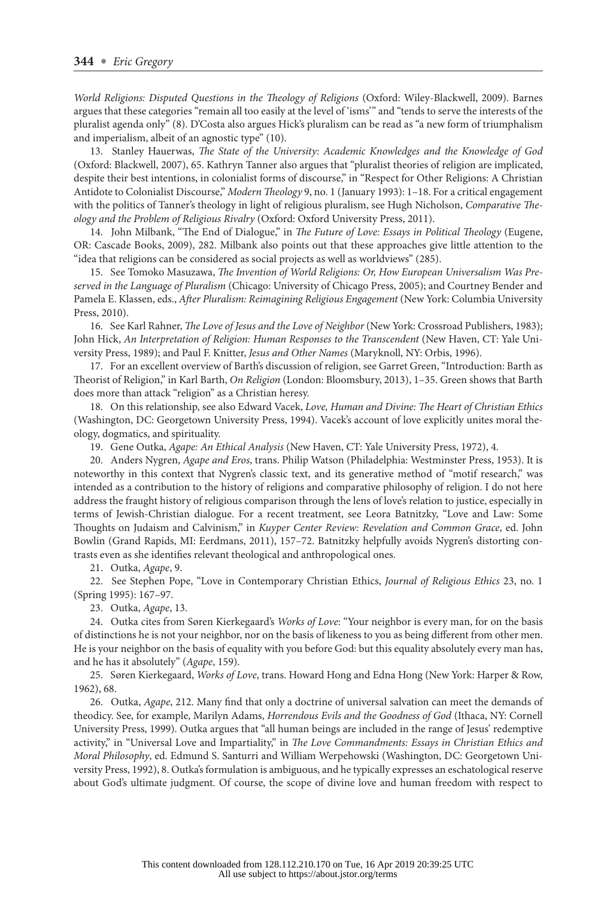<span id="page-13-0"></span>*World Religions: Disputed Questions in the Theology of Religions* (Oxford: Wiley-Blackwell, 2009). Barnes argues that these categories "remain all too easily at the level of 'isms'" and "tends to serve the interests of the pluralist agenda only" (8). D'Costa also argues Hick's pluralism can be read as "a new form of triumphalism and imperialism, albeit of an agnostic type" (10).

13. Stanley Hauerwas, *The State of the University: Academic Knowledges and the Knowledge of God* (Oxford: Blackwell, 2007), 65. Kathryn Tanner also argues that "pluralist theories of religion are implicated, despite their best intentions, in colonialist forms of discourse," in "Respect for Other Religions: A Christian Antidote to Colonialist Discourse," *Modern Theology* 9, no. 1 (January 1993): 1–18. For a critical engagement with the politics of Tanner's theology in light of religious pluralism, see Hugh Nicholson, *Comparative Theology and the Problem of Religious Rivalry* (Oxford: Oxford University Press, 2011).

14. John Milbank, "The End of Dialogue," in *The Future of Love: Essays in Political Theology* (Eugene, OR: Cascade Books, 2009), 282. Milbank also points out that these approaches give little attention to the "idea that religions can be considered as social projects as well as worldviews" (285).

15. See Tomoko Masuzawa, *The Invention of World Religions: Or, How European Universalism Was Preserved in the Language of Pluralism* (Chicago: University of Chicago Press, 2005); and Courtney Bender and Pamela E. Klassen, eds., *After Pluralism: Reimagining Religious Engagement* (New York: Columbia University Press, 2010).

16. See Karl Rahner, *The Love of Jesus and the Love of Neighbor* (New York: Crossroad Publishers, 1983); John Hick, *An Interpretation of Religion: Human Responses to the Transcendent* (New Haven, CT: Yale University Press, 1989); and Paul F. Knitter, *Jesus and Other Names* (Maryknoll, NY: Orbis, 1996).

17. For an excellent overview of Barth's discussion of religion, see Garret Green, "Introduction: Barth as Theorist of Religion," in Karl Barth, *On Religion* (London: Bloomsbury, 2013), 1–35. Green shows that Barth does more than attack "religion" as a Christian heresy.

18. On this relationship, see also Edward Vacek, *Love, Human and Divine: The Heart of Christian Ethics* (Washington, DC: Georgetown University Press, 1994). Vacek's account of love explicitly unites moral theology, dogmatics, and spirituality.

19. Gene Outka, *Agape: An Ethical Analysis* (New Haven, CT: Yale University Press, 1972), 4.

20. Anders Nygren, *Agape and Eros*, trans. Philip Watson (Philadelphia: Westminster Press, 1953). It is noteworthy in this context that Nygren's classic text, and its generative method of "motif research," was intended as a contribution to the history of religions and comparative philosophy of religion. I do not here address the fraught history of religious comparison through the lens of love's relation to justice, especially in terms of Jewish-Christian dialogue. For a recent treatment, see Leora Batnitzky, "Love and Law: Some Thoughts on Judaism and Calvinism," in *Kuyper Center Review: Revelation and Common Grace*, ed. John Bowlin (Grand Rapids, MI: Eerdmans, 2011), 157–72. Batnitzky helpfully avoids Nygren's distorting contrasts even as she identifies relevant theological and anthropological ones.

21. Outka, *Agape*, 9.

22. See Stephen Pope, "Love in Contemporary Christian Ethics, *Journal of Religious Ethics* 23, no. 1 (Spring 1995): 167–97.

23. Outka, *Agape*, 13.

24. Outka cites from Søren Kierkegaard's *Works of Love*: "Your neighbor is every man, for on the basis of distinctions he is not your neighbor, nor on the basis of likeness to you as being different from other men. He is your neighbor on the basis of equality with you before God: but this equality absolutely every man has, and he has it absolutely" (*Agape*, 159).

25. Søren Kierkegaard, *Works of Love*, trans. Howard Hong and Edna Hong (New York: Harper & Row, 1962), 68.

26. Outka, *Agape*, 212. Many find that only a doctrine of universal salvation can meet the demands of theodicy. See, for example, Marilyn Adams, *Horrendous Evils and the Goodness of God* (Ithaca, NY: Cornell University Press, 1999). Outka argues that "all human beings are included in the range of Jesus' redemptive activity," in "Universal Love and Impartiality," in *The Love Commandments: Essays in Christian Ethics and Moral Philosophy*, ed. Edmund S. Santurri and William Werpehowski (Washington, DC: Georgetown University Press, 1992), 8. Outka's formulation is ambiguous, and he typically expresses an eschatological reserve about God's ultimate judgment. Of course, the scope of divine love and human freedom with respect to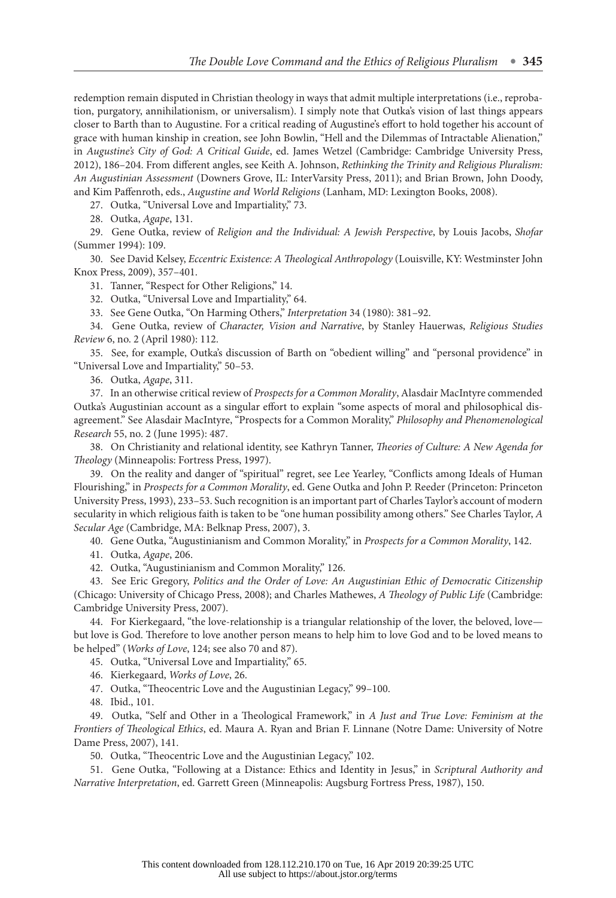<span id="page-14-0"></span>redemption remain disputed in Christian theology in ways that admit multiple interpretations (i.e., reprobation, purgatory, annihilationism, or universalism). I simply note that Outka's vision of last things appears closer to Barth than to Augustine. For a critical reading of Augustine's effort to hold together his account of grace with human kinship in creation, see John Bowlin, "Hell and the Dilemmas of Intractable Alienation," in *Augustine's City of God: A Critical Guide*, ed. James Wetzel (Cambridge: Cambridge University Press, 2012), 186–204. From different angles, see Keith A. Johnson, *Rethinking the Trinity and Religious Pluralism: An Augustinian Assessment* (Downers Grove, IL: InterVarsity Press, 2011); and Brian Brown, John Doody, and Kim Paffenroth, eds., *Augustine and World Religions* (Lanham, MD: Lexington Books, 2008).

27. Outka, "Universal Love and Impartiality," 73.

28. Outka, *Agape*, 131.

29. Gene Outka, review of *Religion and the Individual: A Jewish Perspective*, by Louis Jacobs, *Shofar* (Summer 1994): 109.

30. See David Kelsey, *Eccentric Existence: A Theological Anthropology* (Louisville, KY: Westminster John Knox Press, 2009), 357–401.

31. Tanner, "Respect for Other Religions," 14.

32. Outka, "Universal Love and Impartiality," 64.

33. See Gene Outka, "On Harming Others," *Interpretation* 34 (1980): 381–92.

34. Gene Outka, review of *Character, Vision and Narrative*, by Stanley Hauerwas, *Religious Studies Review* 6, no. 2 (April 1980): 112.

35. See, for example, Outka's discussion of Barth on "obedient willing" and "personal providence" in "Universal Love and Impartiality," 50–53.

36. Outka, *Agape*, 311.

37. In an otherwise critical review of *Prospects for a Common Morality*, Alasdair MacIntyre commended Outka's Augustinian account as a singular effort to explain "some aspects of moral and philosophical disagreement." See Alasdair MacIntyre, "Prospects for a Common Morality," *Philosophy and Phenomenological Research* 55, no. 2 (June 1995): 487.

38. On Christianity and relational identity, see Kathryn Tanner, *Theories of Culture: A New Agenda for Theology* (Minneapolis: Fortress Press, 1997).

39. On the reality and danger of "spiritual" regret, see Lee Yearley, "Conflicts among Ideals of Human Flourishing," in *Prospects for a Common Morality*, ed. Gene Outka and John P. Reeder (Princeton: Princeton University Press, 1993), 233–53. Such recognition is an important part of Charles Taylor's account of modern secularity in which religious faith is taken to be "one human possibility among others." See Charles Taylor, *A Secular Age* (Cambridge, MA: Belknap Press, 2007), 3.

40. Gene Outka, "Augustinianism and Common Morality," in *Prospects for a Common Morality*, 142.

41. Outka, *Agape*, 206.

42. Outka, "Augustinianism and Common Morality," 126.

43. See Eric Gregory, *Politics and the Order of Love: An Augustinian Ethic of Democratic Citizenship* (Chicago: University of Chicago Press, 2008); and Charles Mathewes, *A Theology of Public Life* (Cambridge: Cambridge University Press, 2007).

44. For Kierkegaard, "the love-relationship is a triangular relationship of the lover, the beloved, love but love is God. Therefore to love another person means to help him to love God and to be loved means to be helped" (*Works of Love*, 124; see also 70 and 87).

45. Outka, "Universal Love and Impartiality," 65.

46. Kierkegaard, *Works of Love*, 26.

47. Outka, "Theocentric Love and the Augustinian Legacy," 99–100.

48. Ibid., 101.

49. Outka, "Self and Other in a Theological Framework," in *A Just and True Love: Feminism at the Frontiers of Theological Ethics*, ed. Maura A. Ryan and Brian F. Linnane (Notre Dame: University of Notre Dame Press, 2007), 141.

50. Outka, "Theocentric Love and the Augustinian Legacy," 102.

51. Gene Outka, "Following at a Distance: Ethics and Identity in Jesus," in *Scriptural Authority and Narrative Interpretation*, ed. Garrett Green (Minneapolis: Augsburg Fortress Press, 1987), 150.